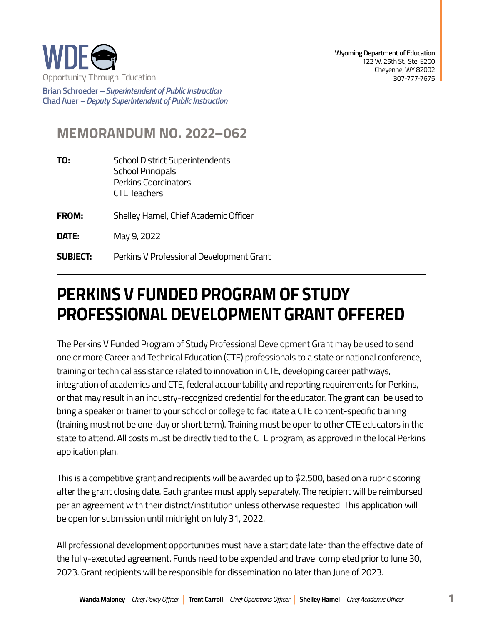

**Brian Schroeder –***Superintendent of Public Instruction*  **Chad Auer** *– Deputy Superintendent of Public Instruction* 

## **MEMORANDUM NO. 2022–062**

- **TO:** School District Superintendents School Principals Perkins Coordinators CTE Teachers
- **FROM:** Shelley Hamel, Chief Academic Officer
- **DATE:** May 9, 2022
- **SUBJECT:** Perkins V Professional Development Grant

## **PERKINS V FUNDED PROGRAM OF STUDY PROFESSIONAL DEVELOPMENT GRANT OFFERED**

The Perkins V Funded Program of Study Professional Development Grant may be used to send one or more Career and Technical Education (CTE) professionals to a state or national conference, training or technical assistance related to innovation in CTE, developing career pathways, integration of academics and CTE, federal accountability and reporting requirements for Perkins, or that may result in an industry-recognized credential for the educator. The grant can be used to bring a speaker or trainer to your school or college to facilitate a CTE content-specific training (training must not be one-day or short term). Training must be open to other CTE educators in the state to attend. All costs must be directly tied to the CTE program, as approved in the local Perkins application plan.

This is a competitive grant and recipients will be awarded up to \$2,500, based on a rubric scoring after the grant closing date. Each grantee must apply separately. The recipient will be reimbursed per an agreement with their district/institution unless otherwise requested. This application will be open for submission until midnight on July 31, 2022.

All professional development opportunities must have a start date later than the effective date of the fully-executed agreement. Funds need to be expended and travel completed prior to June 30, 2023. Grant recipients will be responsible for dissemination no later than June of 2023.